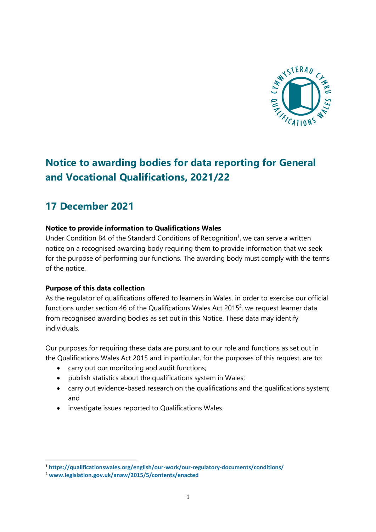

# **Notice to awarding bodies for data reporting for General and Vocational Qualifications, 2021/22**

# **17 December 2021**

# **Notice to provide information to Qualifications Wales**

Under Condition B4 of the Standard Conditions of Recognition<sup>1</sup>, we can serve a written notice on a recognised awarding body requiring them to provide information that we seek for the purpose of performing our functions. The awarding body must comply with the terms of the notice.

## **Purpose of this data collection**

As the regulator of qualifications offered to learners in Wales, in order to exercise our official functions under section 46 of the Qualifications Wales Act 2015<sup>2</sup>, we request learner data from recognised awarding bodies as set out in this Notice. These data may identify individuals.

Our purposes for requiring these data are pursuant to our role and functions as set out in the Qualifications Wales Act 2015 and in particular, for the purposes of this request, are to:

- carry out our monitoring and audit functions;
- publish statistics about the qualifications system in Wales;
- carry out evidence-based research on the qualifications and the qualifications system; and
- investigate issues reported to Qualifications Wales.

<sup>1</sup> **<https://qualificationswales.org/english/our-work/our-regulatory-documents/conditions/>**

<sup>2</sup> **[www.legislation.gov.uk/anaw/2015/5/contents/enacted](http://www.legislation.gov.uk/anaw/2015/5/contents/enacted)**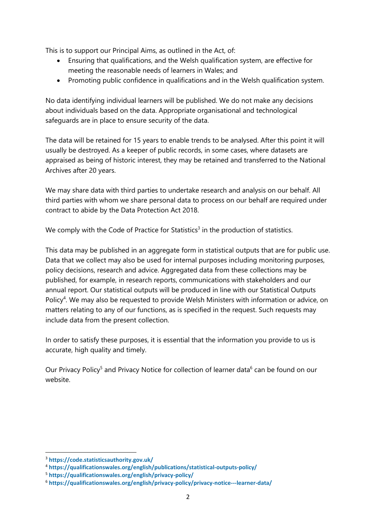This is to support our Principal Aims, as outlined in the Act, of:

- Ensuring that qualifications, and the Welsh qualification system, are effective for meeting the reasonable needs of learners in Wales; and
- Promoting public confidence in qualifications and in the Welsh qualification system.

No data identifying individual learners will be published. We do not make any decisions about individuals based on the data. Appropriate organisational and technological safeguards are in place to ensure security of the data.

The data will be retained for 15 years to enable trends to be analysed. After this point it will usually be destroyed. As a keeper of public records, in some cases, where datasets are appraised as being of historic interest, they may be retained and transferred to the National Archives after 20 years.

We may share data with third parties to undertake research and analysis on our behalf. All third parties with whom we share personal data to process on our behalf are required under contract to abide by the Data Protection Act 2018.

We comply with the Code of Practice for Statistics<sup>3</sup> in the production of statistics.

This data may be published in an aggregate form in statistical outputs that are for public use. Data that we collect may also be used for internal purposes including monitoring purposes, policy decisions, research and advice. Aggregated data from these collections may be published, for example, in research reports, communications with stakeholders and our annual report. Our statistical outputs will be produced in line with our Statistical Outputs Policy<sup>4</sup>. We may also be requested to provide Welsh Ministers with information or advice, on matters relating to any of our functions, as is specified in the request. Such requests may include data from the present collection.

In order to satisfy these purposes, it is essential that the information you provide to us is accurate, high quality and timely.

Our Privacy Policy<sup>5</sup> and Privacy Notice for collection of learner data<sup>6</sup> can be found on our website.

<sup>3</sup> **<https://code.statisticsauthority.gov.uk/>**

<sup>4</sup> **<https://qualificationswales.org/english/publications/statistical-outputs-policy/>**

<sup>5</sup> **<https://qualificationswales.org/english/privacy-policy/>**

<sup>6</sup> **<https://qualificationswales.org/english/privacy-policy/privacy-notice---learner-data/>**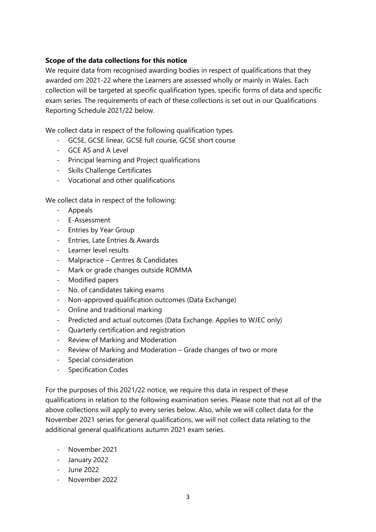## **Scope of the data collections for this notice**

We require data from recognised awarding bodies in respect of qualifications that they awarded om 2021-22 where the Learners are assessed wholly or mainly in Wales. Each collection will be targeted at specific qualification types, specific forms of data and specific exam series. The requirements of each of these collections is set out in our Qualifications Reporting Schedule 2021/22 below.

We collect data in respect of the following qualification types.

- GCSE, GCSE linear, GCSE full course, GCSE short course
- GCE AS and A Level
- Principal learning and Project qualifications
- Skills Challenge Certificates
- Vocational and other qualifications

We collect data in respect of the following:

- Appeals
- E-Assessment
- Entries by Year Group
- Entries, Late Entries & Awards
- Learner level results
- Malpractice Centres & Candidates
- Mark or grade changes outside ROMMA
- Modified papers
- No. of candidates taking exams
- Non-approved qualification outcomes (Data Exchange)
- Online and traditional marking
- Predicted and actual outcomes (Data Exchange. Applies to WJEC only)
- Quarterly certification and registration
- Review of Marking and Moderation
- Review of Marking and Moderation Grade changes of two or more
- Special consideration
- Specification Codes

For the purposes of this 2021/22 notice, we require this data in respect of these qualifications in relation to the following examination series. Please note that not all of the above collections will apply to every series below. Also, while we will collect data for the November 2021 series for general qualifications, we will not collect data relating to the additional general qualifications autumn 2021 exam series.

- November 2021
- January 2022
- June 2022
- November 2022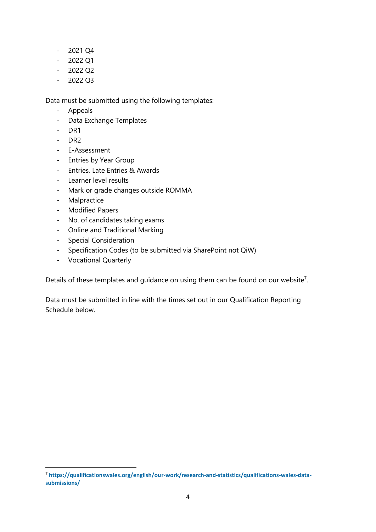- 2021 Q4
- $2022$  Q1
- 2022 Q2
- $-2022O3$

Data must be submitted using the following templates:

- Appeals
- Data Exchange Templates
- DR1
- DR2
- E-Assessment
- Entries by Year Group
- Entries, Late Entries & Awards
- Learner level results
- Mark or grade changes outside ROMMA
- Malpractice
- Modified Papers
- No. of candidates taking exams
- Online and Traditional Marking
- Special Consideration
- Specification Codes (to be submitted via SharePoint not QiW)
- Vocational Quarterly

Details of these templates and quidance on using them can be found on our website<sup>7</sup>.

Data must be submitted in line with the times set out in our Qualification Reporting Schedule below.

<sup>7</sup> **[https://qualificationswales.org/english/our-work/research-and-statistics/qualifications-wales-data](https://qualificationswales.org/english/our-work/research-and-statistics/qualifications-wales-data-submissions/)[submissions/](https://qualificationswales.org/english/our-work/research-and-statistics/qualifications-wales-data-submissions/)**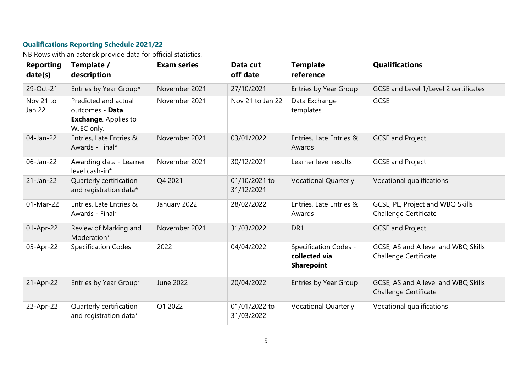# **Qualifications Reporting Schedule 2021/22**

NB Rows with an asterisk provide data for official statistics.

| <b>Reporting</b><br>date(s) | Template /<br>description                                                            | <b>Exam series</b> | Data cut<br>off date        | <b>Template</b><br>reference                                       | <b>Qualifications</b>                                               |
|-----------------------------|--------------------------------------------------------------------------------------|--------------------|-----------------------------|--------------------------------------------------------------------|---------------------------------------------------------------------|
| 29-Oct-21                   | Entries by Year Group*                                                               | November 2021      | 27/10/2021                  | Entries by Year Group                                              | GCSE and Level 1/Level 2 certificates                               |
| Nov 21 to<br>Jan 22         | Predicted and actual<br>outcomes - Data<br><b>Exchange.</b> Applies to<br>WJEC only. | November 2021      | Nov 21 to Jan 22            | Data Exchange<br>templates                                         | GCSE                                                                |
| 04-Jan-22                   | Entries, Late Entries &<br>Awards - Final*                                           | November 2021      | 03/01/2022                  | Entries, Late Entries &<br>Awards                                  | <b>GCSE and Project</b>                                             |
| 06-Jan-22                   | Awarding data - Learner<br>level cash-in*                                            | November 2021      | 30/12/2021                  | Learner level results                                              | <b>GCSE and Project</b>                                             |
| 21-Jan-22                   | Quarterly certification<br>and registration data*                                    | Q4 2021            | 01/10/2021 to<br>31/12/2021 | <b>Vocational Quarterly</b>                                        | Vocational qualifications                                           |
| 01-Mar-22                   | Entries, Late Entries &<br>Awards - Final*                                           | January 2022       | 28/02/2022                  | Entries, Late Entries &<br>Awards                                  | GCSE, PL, Project and WBQ Skills<br><b>Challenge Certificate</b>    |
| 01-Apr-22                   | Review of Marking and<br>Moderation*                                                 | November 2021      | 31/03/2022                  | DR1                                                                | <b>GCSE and Project</b>                                             |
| 05-Apr-22                   | <b>Specification Codes</b>                                                           | 2022               | 04/04/2022                  | <b>Specification Codes -</b><br>collected via<br><b>Sharepoint</b> | GCSE, AS and A level and WBQ Skills<br><b>Challenge Certificate</b> |
| 21-Apr-22                   | Entries by Year Group*                                                               | June 2022          | 20/04/2022                  | Entries by Year Group                                              | GCSE, AS and A level and WBQ Skills<br><b>Challenge Certificate</b> |
| 22-Apr-22                   | Quarterly certification<br>and registration data*                                    | Q1 2022            | 01/01/2022 to<br>31/03/2022 | <b>Vocational Quarterly</b>                                        | Vocational qualifications                                           |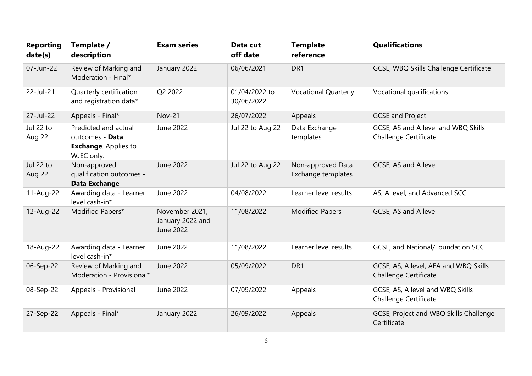| <b>Reporting</b><br>date(s) | Template /<br>description                                                            | <b>Exam series</b>                              | Data cut<br>off date        | <b>Template</b><br>reference            | <b>Qualifications</b>                                                 |
|-----------------------------|--------------------------------------------------------------------------------------|-------------------------------------------------|-----------------------------|-----------------------------------------|-----------------------------------------------------------------------|
| 07-Jun-22                   | Review of Marking and<br>Moderation - Final*                                         | January 2022                                    | 06/06/2021                  | DR1                                     | GCSE, WBQ Skills Challenge Certificate                                |
| 22-Jul-21                   | Quarterly certification<br>and registration data*                                    | Q2 2022                                         | 01/04/2022 to<br>30/06/2022 | <b>Vocational Quarterly</b>             | Vocational qualifications                                             |
| 27-Jul-22                   | Appeals - Final*                                                                     | Nov-21                                          | 26/07/2022                  | Appeals                                 | <b>GCSE and Project</b>                                               |
| Jul 22 to<br>Aug 22         | Predicted and actual<br>outcomes - Data<br><b>Exchange.</b> Applies to<br>WJEC only. | June 2022                                       | Jul 22 to Aug 22            | Data Exchange<br>templates              | GCSE, AS and A level and WBQ Skills<br>Challenge Certificate          |
| Jul 22 to<br>Aug 22         | Non-approved<br>qualification outcomes -<br><b>Data Exchange</b>                     | June 2022                                       | Jul 22 to Aug 22            | Non-approved Data<br>Exchange templates | GCSE, AS and A level                                                  |
| 11-Aug-22                   | Awarding data - Learner<br>level cash-in*                                            | June 2022                                       | 04/08/2022                  | Learner level results                   | AS, A level, and Advanced SCC                                         |
| 12-Aug-22                   | Modified Papers*                                                                     | November 2021,<br>January 2022 and<br>June 2022 | 11/08/2022                  | <b>Modified Papers</b>                  | GCSE, AS and A level                                                  |
| 18-Aug-22                   | Awarding data - Learner<br>level cash-in*                                            | June 2022                                       | 11/08/2022                  | Learner level results                   | GCSE, and National/Foundation SCC                                     |
| 06-Sep-22                   | Review of Marking and<br>Moderation - Provisional*                                   | June 2022                                       | 05/09/2022                  | DR1                                     | GCSE, AS, A level, AEA and WBQ Skills<br><b>Challenge Certificate</b> |
| 08-Sep-22                   | Appeals - Provisional                                                                | June 2022                                       | 07/09/2022                  | Appeals                                 | GCSE, AS, A level and WBQ Skills<br>Challenge Certificate             |
| 27-Sep-22                   | Appeals - Final*                                                                     | January 2022                                    | 26/09/2022                  | Appeals                                 | GCSE, Project and WBQ Skills Challenge<br>Certificate                 |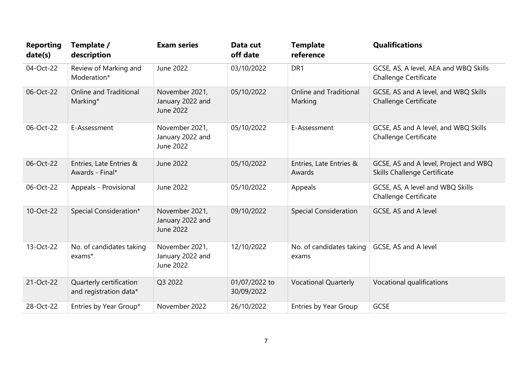| <b>Reporting</b><br>date(s) | Template /<br>description                         | <b>Exam series</b>                              | Data cut<br>off date        | <b>Template</b><br>reference      | <b>Qualifications</b>                                                 |
|-----------------------------|---------------------------------------------------|-------------------------------------------------|-----------------------------|-----------------------------------|-----------------------------------------------------------------------|
| 04-Oct-22                   | Review of Marking and<br>Moderation*              | June 2022                                       | 03/10/2022                  | DR1                               | GCSE, AS, A level, AEA and WBQ Skills<br><b>Challenge Certificate</b> |
| 06-Oct-22                   | <b>Online and Traditional</b><br>Marking*         | November 2021,<br>January 2022 and<br>June 2022 | 05/10/2022                  | Online and Traditional<br>Marking | GCSE, AS and A level, and WBQ Skills<br><b>Challenge Certificate</b>  |
| 06-Oct-22                   | E-Assessment                                      | November 2021,<br>January 2022 and<br>June 2022 | 05/10/2022                  | E-Assessment                      | GCSE, AS and A level, and WBQ Skills<br><b>Challenge Certificate</b>  |
| 06-Oct-22                   | Entries, Late Entries &<br>Awards - Final*        | June 2022                                       | 05/10/2022                  | Entries, Late Entries &<br>Awards | GCSE, AS and A level, Project and WBQ<br>Skills Challenge Certificate |
| 06-Oct-22                   | Appeals - Provisional                             | June 2022                                       | 05/10/2022                  | Appeals                           | GCSE, AS, A level and WBQ Skills<br><b>Challenge Certificate</b>      |
| 10-Oct-22                   | Special Consideration*                            | November 2021,<br>January 2022 and<br>June 2022 | 09/10/2022                  | <b>Special Consideration</b>      | GCSE, AS and A level                                                  |
| 13-Oct-22                   | No. of candidates taking<br>exams*                | November 2021,<br>January 2022 and<br>June 2022 | 12/10/2022                  | No. of candidates taking<br>exams | GCSE, AS and A level                                                  |
| 21-Oct-22                   | Quarterly certification<br>and registration data* | Q3 2022                                         | 01/07/2022 to<br>30/09/2022 | <b>Vocational Quarterly</b>       | Vocational qualifications                                             |
| 28-Oct-22                   | Entries by Year Group*                            | November 2022                                   | 26/10/2022                  | Entries by Year Group             | <b>GCSE</b>                                                           |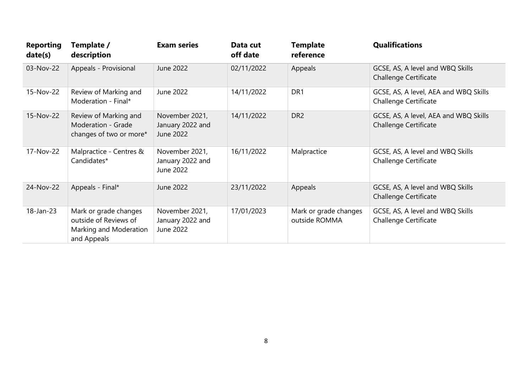| <b>Reporting</b><br>date(s) | Template /<br>description                                                               | <b>Exam series</b>                              | Data cut<br>off date | <b>Template</b><br>reference           | <b>Qualifications</b>                                            |
|-----------------------------|-----------------------------------------------------------------------------------------|-------------------------------------------------|----------------------|----------------------------------------|------------------------------------------------------------------|
| 03-Nov-22                   | Appeals - Provisional                                                                   | June 2022                                       | 02/11/2022           | Appeals                                | GCSE, AS, A level and WBQ Skills<br>Challenge Certificate        |
| 15-Nov-22                   | Review of Marking and<br>Moderation - Final*                                            | June 2022                                       | 14/11/2022           | DR <sub>1</sub>                        | GCSE, AS, A level, AEA and WBQ Skills<br>Challenge Certificate   |
| 15-Nov-22                   | Review of Marking and<br>Moderation - Grade<br>changes of two or more*                  | November 2021,<br>January 2022 and<br>June 2022 | 14/11/2022           | DR <sub>2</sub>                        | GCSE, AS, A level, AEA and WBQ Skills<br>Challenge Certificate   |
| 17-Nov-22                   | Malpractice - Centres &<br>Candidates*                                                  | November 2021,<br>January 2022 and<br>June 2022 | 16/11/2022           | Malpractice                            | GCSE, AS, A level and WBQ Skills<br>Challenge Certificate        |
| 24-Nov-22                   | Appeals - Final*                                                                        | June 2022                                       | 23/11/2022           | Appeals                                | GCSE, AS, A level and WBQ Skills<br><b>Challenge Certificate</b> |
| 18-Jan-23                   | Mark or grade changes<br>outside of Reviews of<br>Marking and Moderation<br>and Appeals | November 2021,<br>January 2022 and<br>June 2022 | 17/01/2023           | Mark or grade changes<br>outside ROMMA | GCSE, AS, A level and WBQ Skills<br>Challenge Certificate        |